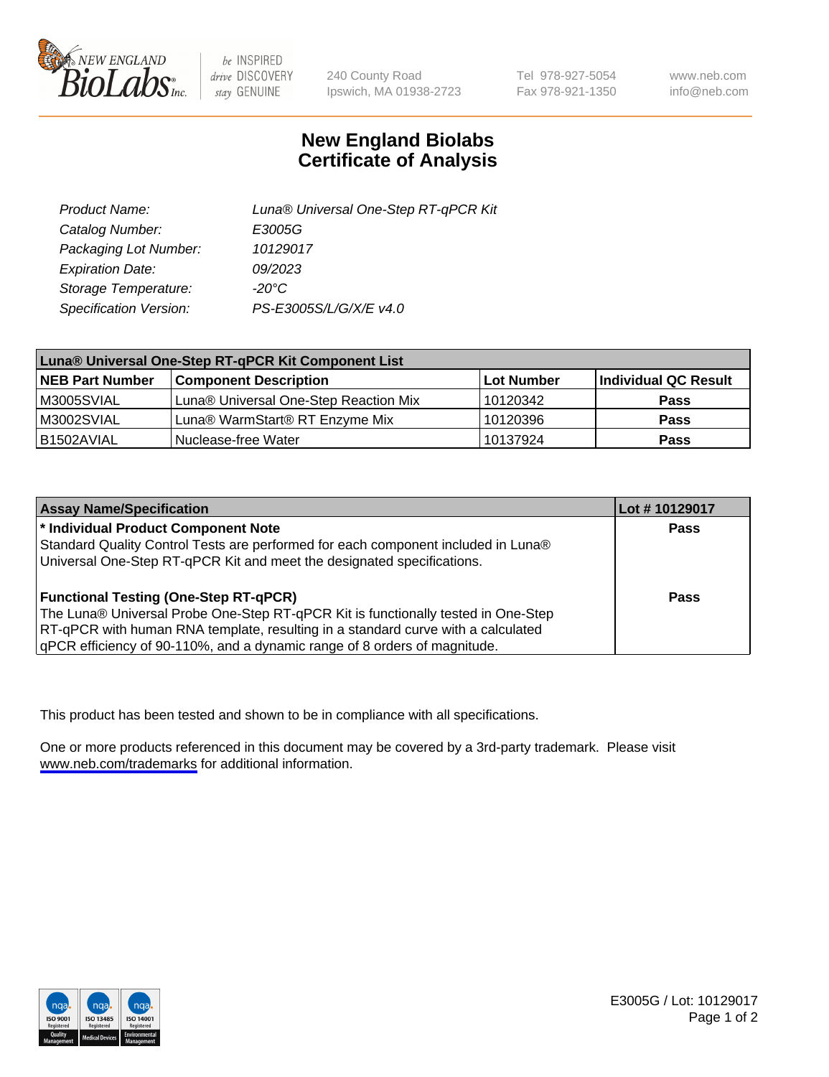

be INSPIRED drive DISCOVERY stay GENUINE

240 County Road Ipswich, MA 01938-2723 Tel 978-927-5054 Fax 978-921-1350

www.neb.com info@neb.com

## **New England Biolabs Certificate of Analysis**

| Product Name:           | Luna® Universal One-Step RT-qPCR Kit |
|-------------------------|--------------------------------------|
| Catalog Number:         | E3005G                               |
| Packaging Lot Number:   | 10129017                             |
| <b>Expiration Date:</b> | 09/2023                              |
| Storage Temperature:    | $-20^{\circ}$ C                      |
| Specification Version:  | PS-E3005S/L/G/X/E v4.0               |

| Luna® Universal One-Step RT-qPCR Kit Component List |                                       |            |                      |
|-----------------------------------------------------|---------------------------------------|------------|----------------------|
| <b>NEB Part Number</b>                              | <b>Component Description</b>          | Lot Number | Individual QC Result |
| M3005SVIAL                                          | Luna® Universal One-Step Reaction Mix | 10120342   | Pass                 |
| M3002SVIAL                                          | Luna® WarmStart® RT Enzyme Mix        | 10120396   | <b>Pass</b>          |
| B1502AVIAL                                          | Nuclease-free Water                   | 10137924   | <b>Pass</b>          |

| <b>Assay Name/Specification</b>                                                   | Lot #10129017 |
|-----------------------------------------------------------------------------------|---------------|
| * Individual Product Component Note                                               | <b>Pass</b>   |
| Standard Quality Control Tests are performed for each component included in Luna® |               |
| Universal One-Step RT-qPCR Kit and meet the designated specifications.            |               |
| <b>Functional Testing (One-Step RT-qPCR)</b>                                      | Pass          |
| The Luna® Universal Probe One-Step RT-qPCR Kit is functionally tested in One-Step |               |
| RT-qPCR with human RNA template, resulting in a standard curve with a calculated  |               |
| gPCR efficiency of 90-110%, and a dynamic range of 8 orders of magnitude.         |               |

This product has been tested and shown to be in compliance with all specifications.

One or more products referenced in this document may be covered by a 3rd-party trademark. Please visit <www.neb.com/trademarks>for additional information.